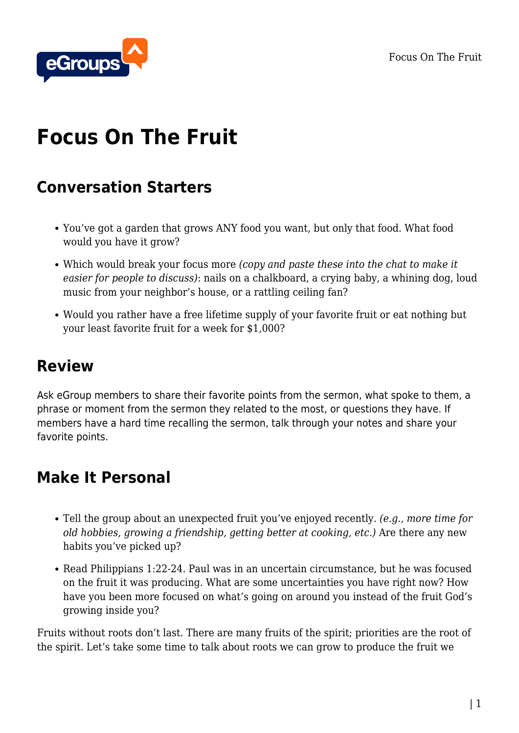Focus On The Fruit



# **Focus On The Fruit**

#### **Conversation Starters**

- You've got a garden that grows ANY food you want, but only that food. What food would you have it grow?
- Which would break your focus more *(copy and paste these into the chat to make it easier for people to discuss)*: nails on a chalkboard, a crying baby, a whining dog, loud music from your neighbor's house, or a rattling ceiling fan?
- Would you rather have a free lifetime supply of your favorite fruit or eat nothing but your least favorite fruit for a week for \$1,000?

## **Review**

Ask eGroup members to share their favorite points from the sermon, what spoke to them, a phrase or moment from the sermon they related to the most, or questions they have. If members have a hard time recalling the sermon, talk through your notes and share your favorite points.

## **Make It Personal**

- Tell the group about an unexpected fruit you've enjoyed recently. *(e.g., more time for old hobbies, growing a friendship, getting better at cooking, etc.)* Are there any new habits you've picked up?
- Read Philippians 1:22-24. Paul was in an uncertain circumstance, but he was focused on the fruit it was producing. What are some uncertainties you have right now? How have you been more focused on what's going on around you instead of the fruit God's growing inside you?

Fruits without roots don't last. There are many fruits of the spirit; priorities are the root of the spirit. Let's take some time to talk about roots we can grow to produce the fruit we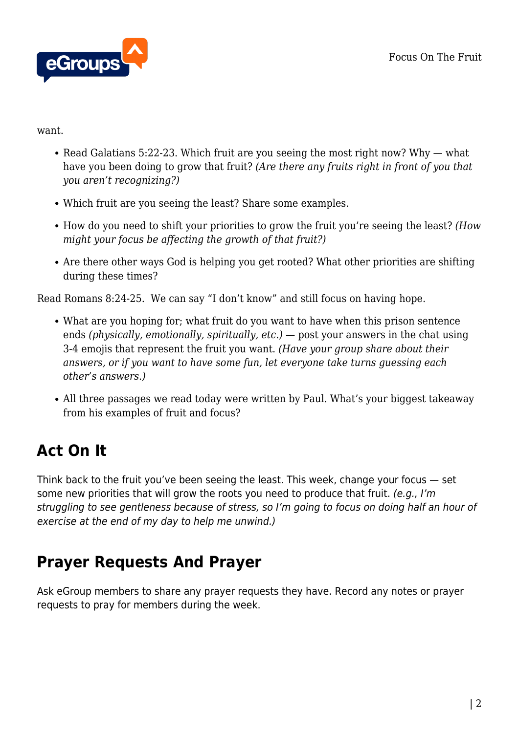

want.

- Read Galatians 5:22-23. Which fruit are you seeing the most right now? Why  $-$  what have you been doing to grow that fruit? *(Are there any fruits right in front of you that you aren't recognizing?)*
- Which fruit are you seeing the least? Share some examples.
- How do you need to shift your priorities to grow the fruit you're seeing the least? *(How might your focus be affecting the growth of that fruit?)*
- Are there other ways God is helping you get rooted? What other priorities are shifting during these times?

Read Romans 8:24-25. We can say "I don't know" and still focus on having hope.

- What are you hoping for; what fruit do you want to have when this prison sentence ends *(physically, emotionally, spiritually, etc.)* — post your answers in the chat using 3-4 emojis that represent the fruit you want. *(Have your group share about their answers, or if you want to have some fun, let everyone take turns guessing each other's answers.)*
- All three passages we read today were written by Paul. What's your biggest takeaway from his examples of fruit and focus?

# **Act On It**

Think back to the fruit you've been seeing the least. This week, change your focus — set some new priorities that will grow the roots you need to produce that fruit. (e.g., I'm struggling to see gentleness because of stress, so I'm going to focus on doing half an hour of exercise at the end of my day to help me unwind.)

## **Prayer Requests And Prayer**

Ask eGroup members to share any prayer requests they have. Record any notes or prayer requests to pray for members during the week.